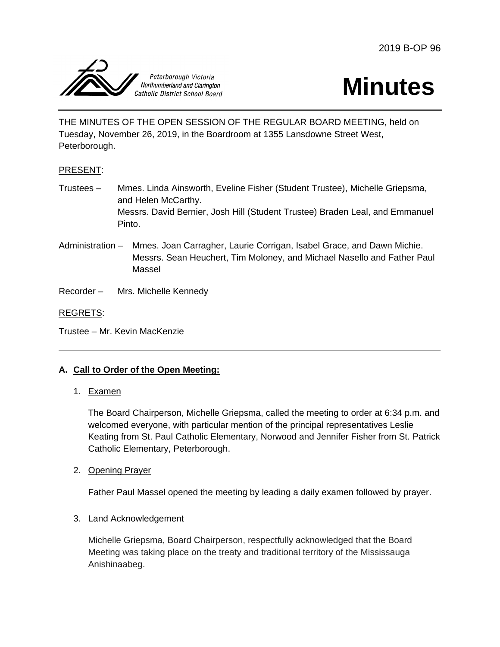



THE MINUTES OF THE OPEN SESSION OF THE REGULAR BOARD MEETING, held on Tuesday, November 26, 2019, in the Boardroom at 1355 Lansdowne Street West, Peterborough.

# PRESENT:

- Trustees Mmes. Linda Ainsworth, Eveline Fisher (Student Trustee), Michelle Griepsma, and Helen McCarthy. Messrs. David Bernier, Josh Hill (Student Trustee) Braden Leal, and Emmanuel Pinto.
- Administration Mmes. Joan Carragher, Laurie Corrigan, Isabel Grace, and Dawn Michie. Messrs. Sean Heuchert, Tim Moloney, and Michael Nasello and Father Paul Massel
- Recorder Mrs. Michelle Kennedy

### REGRETS:

Trustee – Mr. Kevin MacKenzie

# **A. Call to Order of the Open Meeting:**

#### 1. Examen

The Board Chairperson, Michelle Griepsma, called the meeting to order at 6:34 p.m. and welcomed everyone, with particular mention of the principal representatives Leslie Keating from St. Paul Catholic Elementary, Norwood and Jennifer Fisher from St. Patrick Catholic Elementary, Peterborough.

#### 2. Opening Prayer

Father Paul Massel opened the meeting by leading a daily examen followed by prayer.

#### 3. Land Acknowledgement

Michelle Griepsma, Board Chairperson, respectfully acknowledged that the Board Meeting was taking place on the treaty and traditional territory of the Mississauga Anishinaabeg.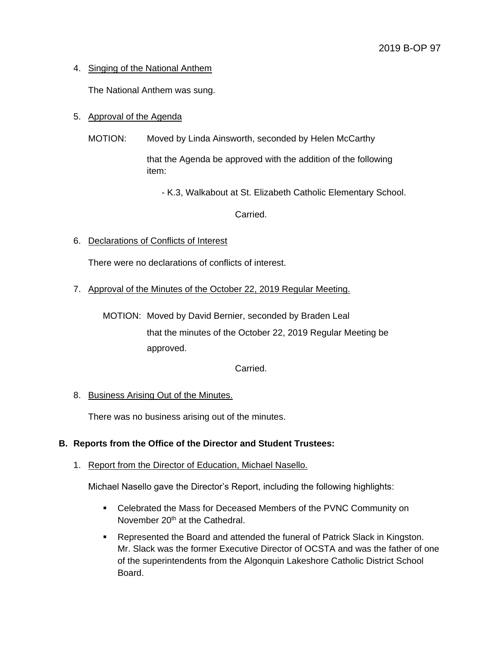# 4. Singing of the National Anthem

The National Anthem was sung.

# 5. Approval of the Agenda

MOTION: Moved by Linda Ainsworth, seconded by Helen McCarthy

that the Agenda be approved with the addition of the following item:

- K.3, Walkabout at St. Elizabeth Catholic Elementary School.

Carried.

6. Declarations of Conflicts of Interest

There were no declarations of conflicts of interest.

7. Approval of the Minutes of the October 22, 2019 Regular Meeting.

MOTION: Moved by David Bernier, seconded by Braden Leal that the minutes of the October 22, 2019 Regular Meeting be approved.

Carried.

# 8. Business Arising Out of the Minutes.

There was no business arising out of the minutes.

# **B. Reports from the Office of the Director and Student Trustees:**

# 1. Report from the Director of Education, Michael Nasello.

Michael Nasello gave the Director's Report, including the following highlights:

- Celebrated the Mass for Deceased Members of the PVNC Community on November 20<sup>th</sup> at the Cathedral.
- **Represented the Board and attended the funeral of Patrick Slack in Kingston.** Mr. Slack was the former Executive Director of OCSTA and was the father of one of the superintendents from the Algonquin Lakeshore Catholic District School Board.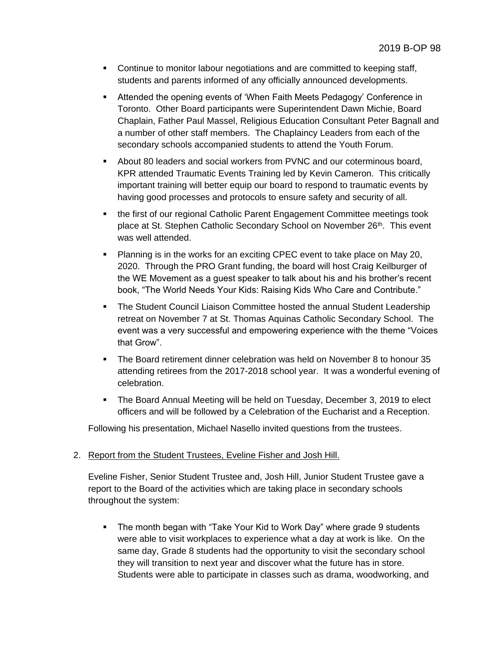- Continue to monitor labour negotiations and are committed to keeping staff, students and parents informed of any officially announced developments.
- Attended the opening events of 'When Faith Meets Pedagogy' Conference in Toronto. Other Board participants were Superintendent Dawn Michie, Board Chaplain, Father Paul Massel, Religious Education Consultant Peter Bagnall and a number of other staff members. The Chaplaincy Leaders from each of the secondary schools accompanied students to attend the Youth Forum.
- About 80 leaders and social workers from PVNC and our coterminous board, KPR attended Traumatic Events Training led by Kevin Cameron. This critically important training will better equip our board to respond to traumatic events by having good processes and protocols to ensure safety and security of all.
- the first of our regional Catholic Parent Engagement Committee meetings took place at St. Stephen Catholic Secondary School on November 26<sup>th</sup>. This event was well attended.
- Planning is in the works for an exciting CPEC event to take place on May 20, 2020. Through the PRO Grant funding, the board will host Craig Keilburger of the WE Movement as a guest speaker to talk about his and his brother's recent book, "The World Needs Your Kids: Raising Kids Who Care and Contribute."
- The Student Council Liaison Committee hosted the annual Student Leadership retreat on November 7 at St. Thomas Aquinas Catholic Secondary School. The event was a very successful and empowering experience with the theme "Voices that Grow".
- **The Board retirement dinner celebration was held on November 8 to honour 35** attending retirees from the 2017-2018 school year. It was a wonderful evening of celebration.
- **The Board Annual Meeting will be held on Tuesday, December 3, 2019 to elect** officers and will be followed by a Celebration of the Eucharist and a Reception.

Following his presentation, Michael Nasello invited questions from the trustees.

#### 2. Report from the Student Trustees, Eveline Fisher and Josh Hill.

Eveline Fisher, Senior Student Trustee and, Josh Hill, Junior Student Trustee gave a report to the Board of the activities which are taking place in secondary schools throughout the system:

 The month began with "Take Your Kid to Work Day" where grade 9 students were able to visit workplaces to experience what a day at work is like. On the same day, Grade 8 students had the opportunity to visit the secondary school they will transition to next year and discover what the future has in store. Students were able to participate in classes such as drama, woodworking, and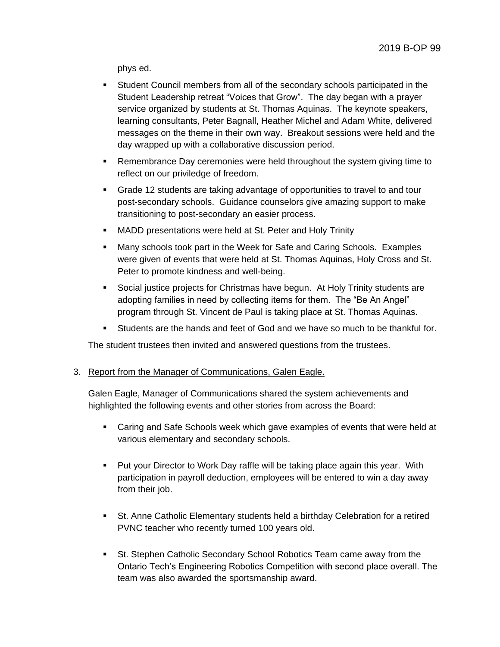phys ed.

- Student Council members from all of the secondary schools participated in the Student Leadership retreat "Voices that Grow". The day began with a prayer service organized by students at St. Thomas Aquinas. The keynote speakers, learning consultants, Peter Bagnall, Heather Michel and Adam White, delivered messages on the theme in their own way. Breakout sessions were held and the day wrapped up with a collaborative discussion period.
- **Remembrance Day ceremonies were held throughout the system giving time to** reflect on our priviledge of freedom.
- Grade 12 students are taking advantage of opportunities to travel to and tour post-secondary schools. Guidance counselors give amazing support to make transitioning to post-secondary an easier process.
- MADD presentations were held at St. Peter and Holy Trinity
- Many schools took part in the Week for Safe and Caring Schools. Examples were given of events that were held at St. Thomas Aquinas, Holy Cross and St. Peter to promote kindness and well-being.
- Social justice projects for Christmas have begun. At Holy Trinity students are adopting families in need by collecting items for them. The "Be An Angel" program through St. Vincent de Paul is taking place at St. Thomas Aquinas.
- Students are the hands and feet of God and we have so much to be thankful for.

The student trustees then invited and answered questions from the trustees.

#### 3. Report from the Manager of Communications, Galen Eagle.

Galen Eagle, Manager of Communications shared the system achievements and highlighted the following events and other stories from across the Board:

- Caring and Safe Schools week which gave examples of events that were held at various elementary and secondary schools.
- Put your Director to Work Day raffle will be taking place again this year. With participation in payroll deduction, employees will be entered to win a day away from their job.
- St. Anne Catholic Elementary students held a birthday Celebration for a retired PVNC teacher who recently turned 100 years old.
- St. Stephen Catholic Secondary School Robotics Team came away from the Ontario Tech's Engineering Robotics Competition with second place overall. The team was also awarded the sportsmanship award.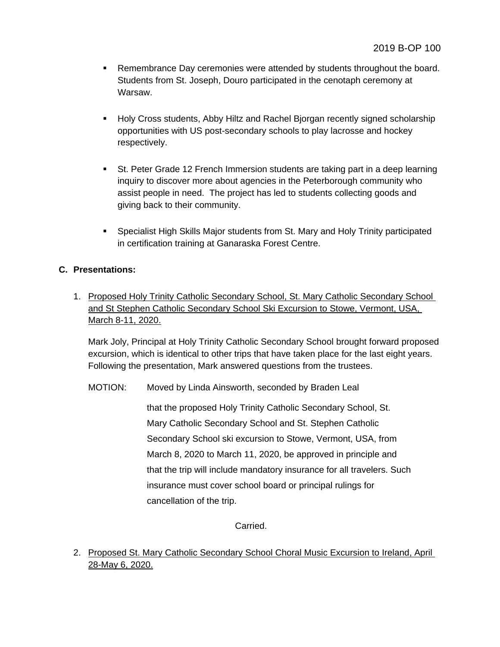- **Remembrance Day ceremonies were attended by students throughout the board.** Students from St. Joseph, Douro participated in the cenotaph ceremony at Warsaw.
- Holy Cross students, Abby Hiltz and Rachel Bjorgan recently signed scholarship opportunities with US post-secondary schools to play lacrosse and hockey respectively.
- St. Peter Grade 12 French Immersion students are taking part in a deep learning inquiry to discover more about agencies in the Peterborough community who assist people in need. The project has led to students collecting goods and giving back to their community.
- Specialist High Skills Major students from St. Mary and Holy Trinity participated in certification training at Ganaraska Forest Centre.

# **C. Presentations:**

1. Proposed Holy Trinity Catholic Secondary School, St. Mary Catholic Secondary School and St Stephen Catholic Secondary School Ski Excursion to Stowe, Vermont, USA, March 8-11, 2020.

Mark Joly, Principal at Holy Trinity Catholic Secondary School brought forward proposed excursion, which is identical to other trips that have taken place for the last eight years. Following the presentation, Mark answered questions from the trustees.

MOTION: Moved by Linda Ainsworth, seconded by Braden Leal

that the proposed Holy Trinity Catholic Secondary School, St. Mary Catholic Secondary School and St. Stephen Catholic Secondary School ski excursion to Stowe, Vermont, USA, from March 8, 2020 to March 11, 2020, be approved in principle and that the trip will include mandatory insurance for all travelers. Such insurance must cover school board or principal rulings for cancellation of the trip.

Carried.

2. Proposed St. Mary Catholic Secondary School Choral Music Excursion to Ireland, April 28-May 6, 2020.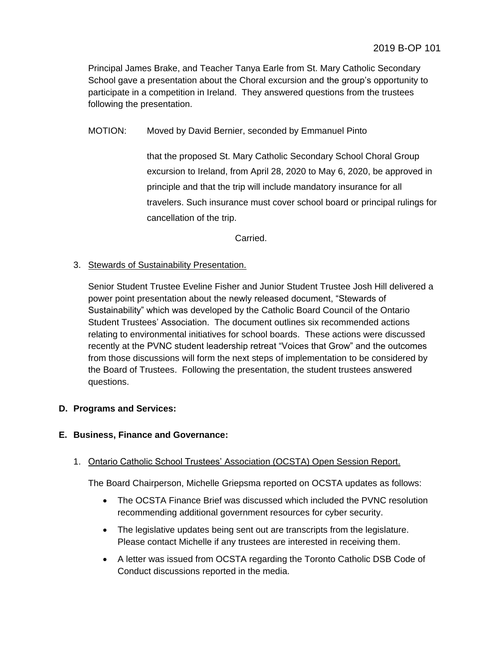Principal James Brake, and Teacher Tanya Earle from St. Mary Catholic Secondary School gave a presentation about the Choral excursion and the group's opportunity to participate in a competition in Ireland. They answered questions from the trustees following the presentation.

MOTION: Moved by David Bernier, seconded by Emmanuel Pinto

that the proposed St. Mary Catholic Secondary School Choral Group excursion to Ireland, from April 28, 2020 to May 6, 2020, be approved in principle and that the trip will include mandatory insurance for all travelers. Such insurance must cover school board or principal rulings for cancellation of the trip.

Carried.

### 3. Stewards of Sustainability Presentation.

Senior Student Trustee Eveline Fisher and Junior Student Trustee Josh Hill delivered a power point presentation about the newly released document, "Stewards of Sustainability" which was developed by the Catholic Board Council of the Ontario Student Trustees' Association. The document outlines six recommended actions relating to environmental initiatives for school boards. These actions were discussed recently at the PVNC student leadership retreat "Voices that Grow" and the outcomes from those discussions will form the next steps of implementation to be considered by the Board of Trustees. Following the presentation, the student trustees answered questions.

#### **D. Programs and Services:**

#### **E. Business, Finance and Governance:**

# 1. Ontario Catholic School Trustees' Association (OCSTA) Open Session Report.

The Board Chairperson, Michelle Griepsma reported on OCSTA updates as follows:

- The OCSTA Finance Brief was discussed which included the PVNC resolution recommending additional government resources for cyber security.
- The legislative updates being sent out are transcripts from the legislature. Please contact Michelle if any trustees are interested in receiving them.
- A letter was issued from OCSTA regarding the Toronto Catholic DSB Code of Conduct discussions reported in the media.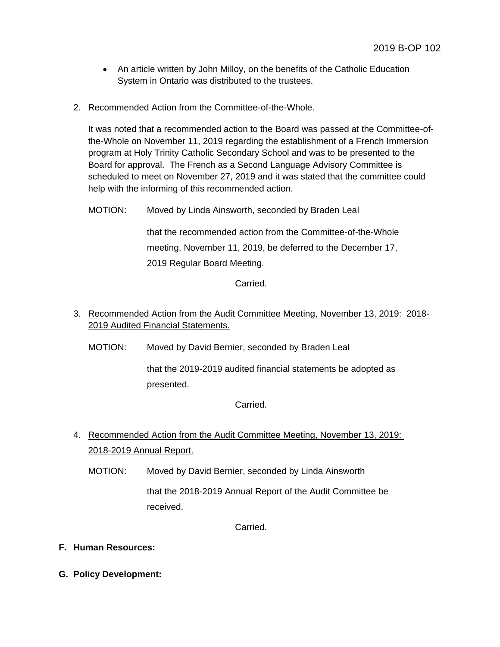- An article written by John Milloy, on the benefits of the Catholic Education System in Ontario was distributed to the trustees.
- 2. Recommended Action from the Committee-of-the-Whole.

It was noted that a recommended action to the Board was passed at the Committee-ofthe-Whole on November 11, 2019 regarding the establishment of a French Immersion program at Holy Trinity Catholic Secondary School and was to be presented to the Board for approval. The French as a Second Language Advisory Committee is scheduled to meet on November 27, 2019 and it was stated that the committee could help with the informing of this recommended action.

MOTION: Moved by Linda Ainsworth, seconded by Braden Leal

that the recommended action from the Committee-of-the-Whole meeting, November 11, 2019, be deferred to the December 17, 2019 Regular Board Meeting.

Carried.

- 3. Recommended Action from the Audit Committee Meeting, November 13, 2019: 2018- 2019 Audited Financial Statements.
	- MOTION: Moved by David Bernier, seconded by Braden Leal

that the 2019-2019 audited financial statements be adopted as presented.

Carried.

- 4. Recommended Action from the Audit Committee Meeting, November 13, 2019: 2018-2019 Annual Report.
	- MOTION: Moved by David Bernier, seconded by Linda Ainsworth

that the 2018-2019 Annual Report of the Audit Committee be received.

Carried.

- **F. Human Resources:**
- **G. Policy Development:**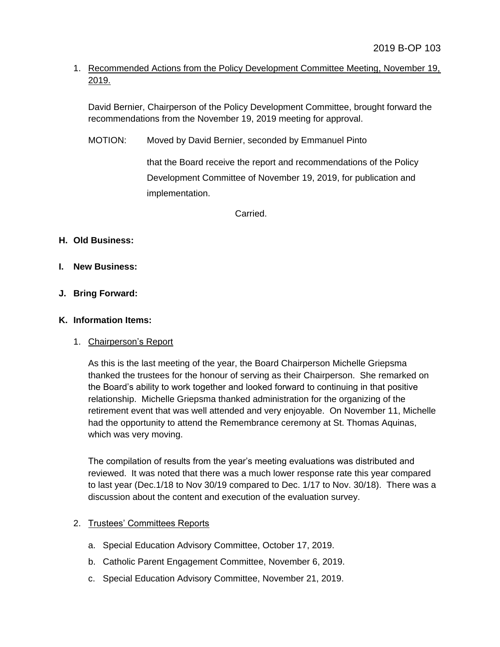# 1. Recommended Actions from the Policy Development Committee Meeting, November 19, 2019.

David Bernier, Chairperson of the Policy Development Committee, brought forward the recommendations from the November 19, 2019 meeting for approval.

MOTION: Moved by David Bernier, seconded by Emmanuel Pinto

that the Board receive the report and recommendations of the Policy Development Committee of November 19, 2019, for publication and implementation.

Carried.

# **H. Old Business:**

- **I. New Business:**
- **J. Bring Forward:**

### **K. Information Items:**

# 1. Chairperson's Report

As this is the last meeting of the year, the Board Chairperson Michelle Griepsma thanked the trustees for the honour of serving as their Chairperson. She remarked on the Board's ability to work together and looked forward to continuing in that positive relationship. Michelle Griepsma thanked administration for the organizing of the retirement event that was well attended and very enjoyable. On November 11, Michelle had the opportunity to attend the Remembrance ceremony at St. Thomas Aquinas, which was very moving.

The compilation of results from the year's meeting evaluations was distributed and reviewed. It was noted that there was a much lower response rate this year compared to last year (Dec.1/18 to Nov 30/19 compared to Dec. 1/17 to Nov. 30/18). There was a discussion about the content and execution of the evaluation survey.

# 2. Trustees' Committees Reports

- a. Special Education Advisory Committee, October 17, 2019.
- b. Catholic Parent Engagement Committee, November 6, 2019.
- c. Special Education Advisory Committee, November 21, 2019.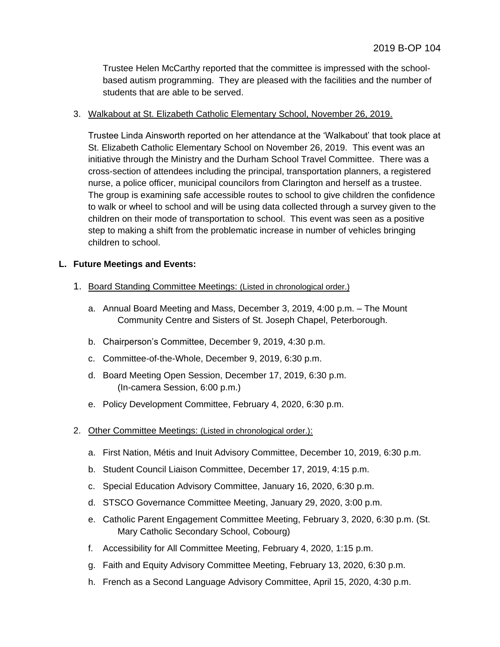Trustee Helen McCarthy reported that the committee is impressed with the schoolbased autism programming. They are pleased with the facilities and the number of students that are able to be served.

### 3. Walkabout at St. Elizabeth Catholic Elementary School, November 26, 2019.

Trustee Linda Ainsworth reported on her attendance at the 'Walkabout' that took place at St. Elizabeth Catholic Elementary School on November 26, 2019. This event was an initiative through the Ministry and the Durham School Travel Committee. There was a cross-section of attendees including the principal, transportation planners, a registered nurse, a police officer, municipal councilors from Clarington and herself as a trustee. The group is examining safe accessible routes to school to give children the confidence to walk or wheel to school and will be using data collected through a survey given to the children on their mode of transportation to school. This event was seen as a positive step to making a shift from the problematic increase in number of vehicles bringing children to school.

### **L. Future Meetings and Events:**

- 1. Board Standing Committee Meetings: (Listed in chronological order.)
	- a. Annual Board Meeting and Mass, December 3, 2019, 4:00 p.m. The Mount Community Centre and Sisters of St. Joseph Chapel, Peterborough.
	- b. Chairperson's Committee, December 9, 2019, 4:30 p.m.
	- c. Committee-of-the-Whole, December 9, 2019, 6:30 p.m.
	- d. Board Meeting Open Session, December 17, 2019, 6:30 p.m. (In-camera Session, 6:00 p.m.)
	- e. Policy Development Committee, February 4, 2020, 6:30 p.m.
- 2. Other Committee Meetings: (Listed in chronological order.):
	- a. First Nation, Métis and Inuit Advisory Committee, December 10, 2019, 6:30 p.m.
	- b. Student Council Liaison Committee, December 17, 2019, 4:15 p.m.
	- c. Special Education Advisory Committee, January 16, 2020, 6:30 p.m.
	- d. STSCO Governance Committee Meeting, January 29, 2020, 3:00 p.m.
	- e. Catholic Parent Engagement Committee Meeting, February 3, 2020, 6:30 p.m. (St. Mary Catholic Secondary School, Cobourg)
	- f. Accessibility for All Committee Meeting, February 4, 2020, 1:15 p.m.
	- g. Faith and Equity Advisory Committee Meeting, February 13, 2020, 6:30 p.m.
	- h. French as a Second Language Advisory Committee, April 15, 2020, 4:30 p.m.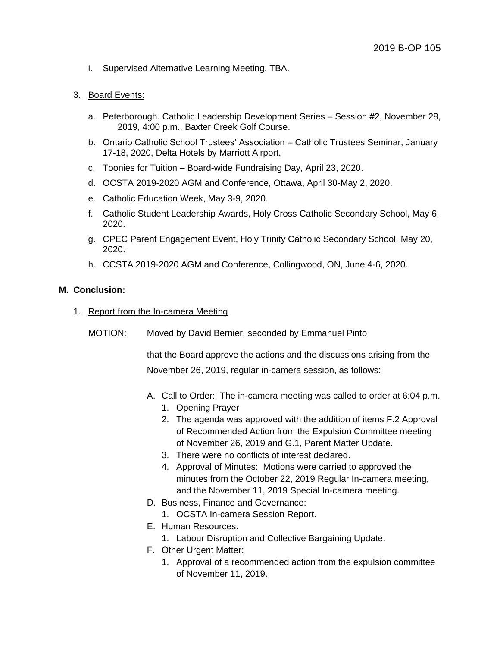i. Supervised Alternative Learning Meeting, TBA.

#### 3. Board Events:

- a. Peterborough. Catholic Leadership Development Series Session #2, November 28, 2019, 4:00 p.m., Baxter Creek Golf Course.
- b. Ontario Catholic School Trustees' Association Catholic Trustees Seminar, January 17-18, 2020, Delta Hotels by Marriott Airport.
- c. Toonies for Tuition Board-wide Fundraising Day, April 23, 2020.
- d. OCSTA 2019-2020 AGM and Conference, Ottawa, April 30-May 2, 2020.
- e. Catholic Education Week, May 3-9, 2020.
- f. Catholic Student Leadership Awards, Holy Cross Catholic Secondary School, May 6, 2020.
- g. CPEC Parent Engagement Event, Holy Trinity Catholic Secondary School, May 20, 2020.
- h. CCSTA 2019-2020 AGM and Conference, Collingwood, ON, June 4-6, 2020.

#### **M. Conclusion:**

- 1. Report from the In-camera Meeting
	- MOTION: Moved by David Bernier, seconded by Emmanuel Pinto

that the Board approve the actions and the discussions arising from the November 26, 2019, regular in-camera session, as follows:

- A. Call to Order: The in-camera meeting was called to order at 6:04 p.m.
	- 1. Opening Prayer
	- 2. The agenda was approved with the addition of items F.2 Approval of Recommended Action from the Expulsion Committee meeting of November 26, 2019 and G.1, Parent Matter Update.
	- 3. There were no conflicts of interest declared.
	- 4. Approval of Minutes: Motions were carried to approved the minutes from the October 22, 2019 Regular In-camera meeting, and the November 11, 2019 Special In-camera meeting.
- D. Business, Finance and Governance:
	- 1. OCSTA In-camera Session Report.
- E. Human Resources:
	- 1. Labour Disruption and Collective Bargaining Update.
- F. Other Urgent Matter:
	- 1. Approval of a recommended action from the expulsion committee of November 11, 2019.